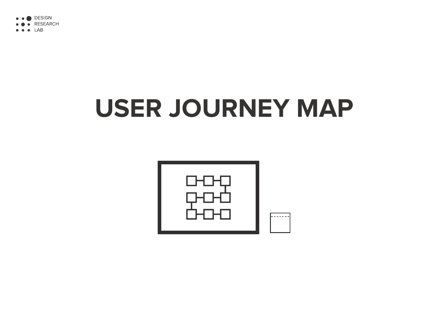

**LAB** 

# **USER JOURNEY MAP**



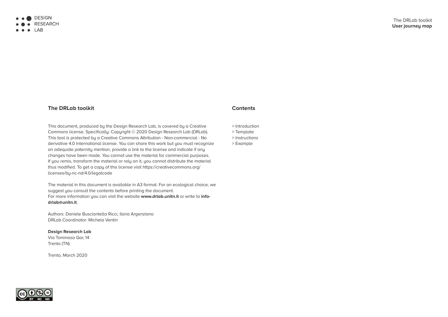### **Contents**

- > Introduction
- > Template
- > Instructions
- > Example





## **The DRLab toolkit**

This document, produced by the Design Research Lab, is covered by a Creative Commons license. Specifically: Copyright © 2020 Design Research Lab (DRLab). This tool is protected by a Creative Commons Attribution - Non-commercial - No derivative 4.0 International license. You can share this work but you must recognize an adequate paternity mention, provide a link to the license and indicate if any changes have been made. You cannot use the material for commercial purposes. If you remix, transform the material or rely on it, you cannot distribute the material thus modified. To get a copy of this license visit https://creativecommons.org/ licenses/by-nc-nd/4.0/legalcode

The DRLab toolkit **User journey map**

The material in this document is available in A3 format. For an ecological choice, we suggest you consult the contents before printing the document. For more information you can visit the website **www.drlab.unitn.it** or write to **infodrlab@unitn.it**.

Authors: Daniele Busciantella Ricci, Ilaria Argenziano DRLab Coordinator: Michela Ventin

**Design Research Lab** Via Tommaso Gar, 14 Trento (TN)

Trento, March 2020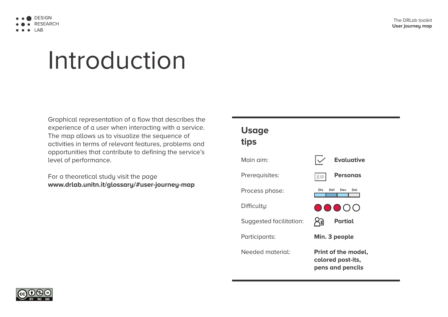The DRLab toolkit **User journey map**



## Introduction

Graphical representation of a flow that describes the experience of a user when interacting with a service. The map allows us to visualize the sequence of activities in terms of relevant features, problems and opportunities that contribute to defining the service's level of performance.

For a theoretical study visit the page **www.drlab.unitn.it/glossary/#user-journey-map**



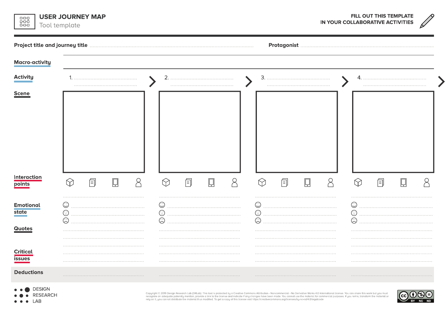| <b>USER JOURNEY MAP</b><br>꾫<br>Tool template |  |                                            |   |  |           |                 |             |  | FILL OUT THIS TEMPLATE<br>IN YOUR COLLABORATIVE ACTIVITIES |    |   |  |           |   |   |  |  |  |
|-----------------------------------------------|--|--------------------------------------------|---|--|-----------|-----------------|-------------|--|------------------------------------------------------------|----|---|--|-----------|---|---|--|--|--|
| <b>Project title and journey title</b>        |  |                                            |   |  |           |                 | Protagonist |  |                                                            |    |   |  |           |   |   |  |  |  |
| <b>Macro-activity</b>                         |  |                                            |   |  |           |                 |             |  |                                                            |    |   |  |           |   |   |  |  |  |
| <b>Activity</b>                               |  |                                            |   |  |           | 2.              |             |  |                                                            | 3. |   |  |           |   |   |  |  |  |
| <b>Scene</b>                                  |  |                                            |   |  |           |                 |             |  |                                                            |    |   |  |           |   |   |  |  |  |
| <b>Interaction</b>                            |  | $\bowtie$                                  | 目 |  | $\varphi$ | $\bigwedge$     | 面           |  |                                                            |    | 伺 |  | $\varphi$ | M | 囼 |  |  |  |
|                                               |  | $\overline{\smash{\subset}}$<br>$\backsim$ |   |  |           | $\sqrt{2}$<br>∨ |             |  |                                                            | V) |   |  |           | O |   |  |  |  |
| <b>Deductions</b>                             |  |                                            |   |  |           |                 |             |  |                                                            |    |   |  |           |   |   |  |  |  |

 $\bullet \bullet \bullet$  DESIGN

● ● RESEARCH

 $\bullet\bullet\bullet$  LAB

Copyright © 2019 Design Research Lab (DRLab). This tool is protected by a Creative Commons Attribution - Noncommercial - No Derivative Works 4.0 International license. You can share this work but you must<br>recognize an ade

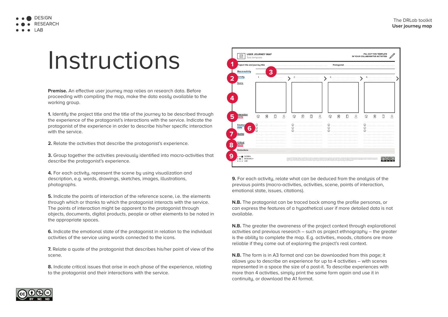### The DRLab toolkit **User journey map**

| FILL OUT THIS TEMPLATE<br>IN YOUR COLLABORATIVE ACTIVITIES |  |                                                                                                                                                                                                                                   |  |                |   |  |   |  |  |  |  |
|------------------------------------------------------------|--|-----------------------------------------------------------------------------------------------------------------------------------------------------------------------------------------------------------------------------------|--|----------------|---|--|---|--|--|--|--|
| gonist                                                     |  |                                                                                                                                                                                                                                   |  |                |   |  |   |  |  |  |  |
|                                                            |  |                                                                                                                                                                                                                                   |  |                |   |  |   |  |  |  |  |
|                                                            |  |                                                                                                                                                                                                                                   |  | 4.             |   |  |   |  |  |  |  |
|                                                            |  |                                                                                                                                                                                                                                   |  |                |   |  |   |  |  |  |  |
|                                                            |  |                                                                                                                                                                                                                                   |  |                |   |  |   |  |  |  |  |
|                                                            |  |                                                                                                                                                                                                                                   |  |                |   |  |   |  |  |  |  |
|                                                            |  |                                                                                                                                                                                                                                   |  |                |   |  |   |  |  |  |  |
|                                                            |  |                                                                                                                                                                                                                                   |  |                |   |  |   |  |  |  |  |
| E                                                          |  | 8                                                                                                                                                                                                                                 |  | $\heartsuit$   | Ē |  | 8 |  |  |  |  |
|                                                            |  |                                                                                                                                                                                                                                   |  |                |   |  |   |  |  |  |  |
|                                                            |  |                                                                                                                                                                                                                                   |  | $\circledcirc$ |   |  |   |  |  |  |  |
|                                                            |  |                                                                                                                                                                                                                                   |  |                |   |  |   |  |  |  |  |
|                                                            |  |                                                                                                                                                                                                                                   |  |                |   |  |   |  |  |  |  |
|                                                            |  |                                                                                                                                                                                                                                   |  |                |   |  |   |  |  |  |  |
|                                                            |  |                                                                                                                                                                                                                                   |  |                |   |  |   |  |  |  |  |
|                                                            |  |                                                                                                                                                                                                                                   |  |                |   |  |   |  |  |  |  |
|                                                            |  | ricial - No Derivative Works 4.0 International license. You can share this work but you must<br>bu cannot use the material for commercial purposes. If you remix, transform the material or<br>rg/licenses/by-nc-nd/4.0/legalcode |  |                |   |  |   |  |  |  |  |





## Instructions

**Premise.** An effective user journey map relies on research data. Before proceeding with compiling the map, make the data easily available to the working group.

**1.** Identify the project title and the title of the journey to be described through the experience of the protagonist's interactions with the service. Indicate the protagonist of the experience in order to describe his/her specific interaction with the service.

**2.** Relate the activities that describe the protagonist's experience.

**3.** Group together the activities previously identified into macro-activities that describe the protagonist's experience.

**4.** For each activity, represent the scene by using visualization and description, e.g. words, drawings, sketches, images, illustrations, photographs.

**9.** For each activity, relate what can be deduced from the analysis of the previous points (macro-activities, activities, scene, points of interaction, emotional state, issues, citations).

**5.** Indicate the points of interaction of the reference scene, i.e. the elements through which or thanks to which the protagonist interacts with the service. The points of interaction might be apparent to the protagonist through objects, documents, digital products, people or other elements to be noted in the appropriate spaces.

**6.** Indicate the emotional state of the protagonist in relation to the individual activities of the service using words connected to the icons.

**7.** Relate a quote of the protagonist that describes his/her point of view of the scene.

**8.** Indicate critical issues that arise in each phase of the experience, relating to the protagonist and their interactions with the service.

**N.B.** The protagonist can be traced back among the profile personas, or can express the features of a hupothetical user if more detailed data is not available.

**N.B.** The greater the awareness of the project context through explorational activities and previous research – such as project ethnography – the greater is the ability to complete the map. E.g. activities, moods, citations are more reliable if they come out of exploring the project's real context.

**N.B.** The form is in A3 format and can be downloaded from this page; it allows you to describe an experience for up to 4 activities – with scenes represented in a space the size of a post-it. To describe experiences with more than 4 activities, simply print the same form again and use it in continuity, or download the A1 format.